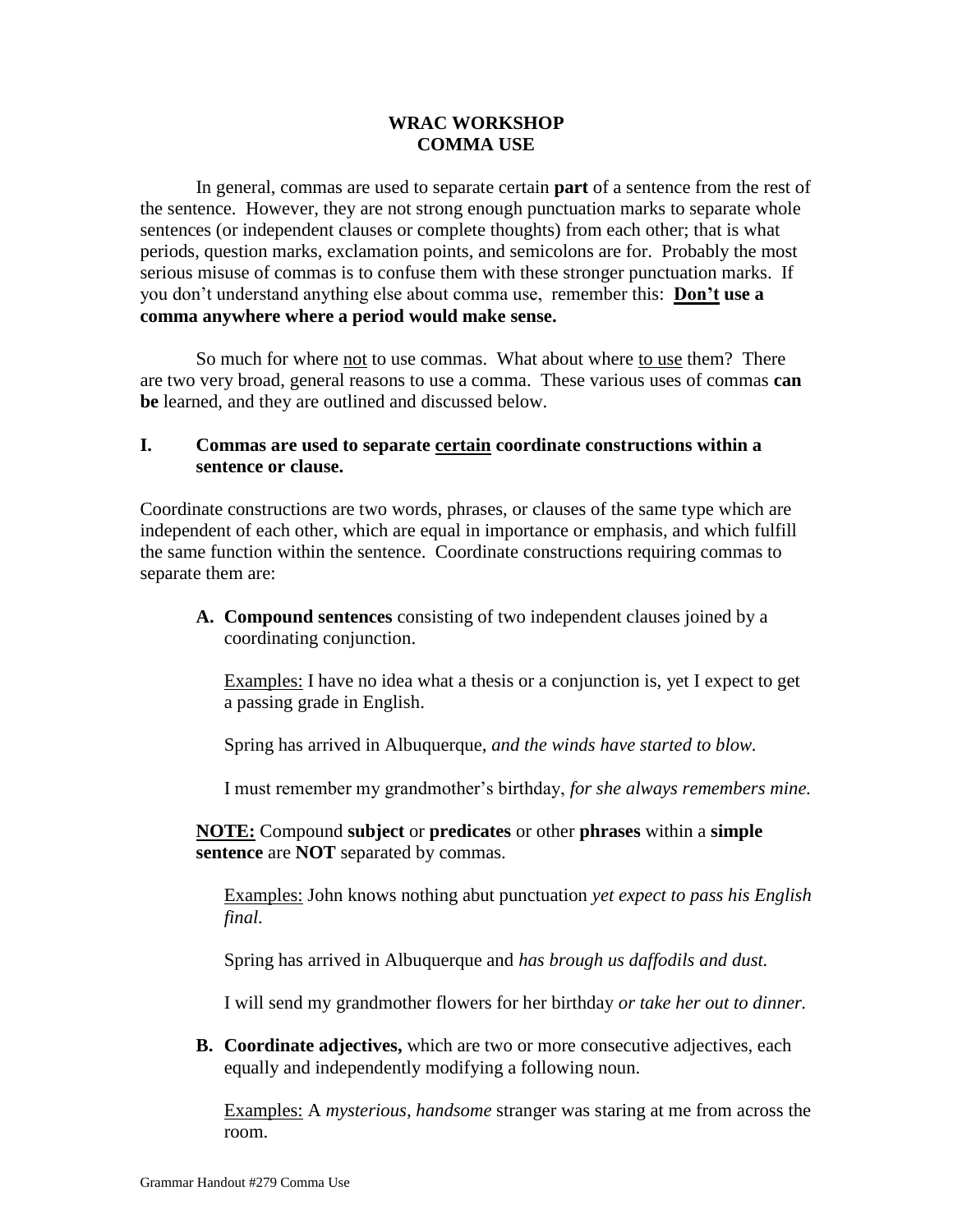## **WRAC WORKSHOP COMMA USE**

In general, commas are used to separate certain **part** of a sentence from the rest of the sentence. However, they are not strong enough punctuation marks to separate whole sentences (or independent clauses or complete thoughts) from each other; that is what periods, question marks, exclamation points, and semicolons are for. Probably the most serious misuse of commas is to confuse them with these stronger punctuation marks. If you don't understand anything else about comma use, remember this: **Don't use a comma anywhere where a period would make sense.**

So much for where not to use commas. What about where to use them? There are two very broad, general reasons to use a comma. These various uses of commas **can be** learned, and they are outlined and discussed below.

## **I. Commas are used to separate certain coordinate constructions within a sentence or clause.**

Coordinate constructions are two words, phrases, or clauses of the same type which are independent of each other, which are equal in importance or emphasis, and which fulfill the same function within the sentence. Coordinate constructions requiring commas to separate them are:

**A. Compound sentences** consisting of two independent clauses joined by a coordinating conjunction.

Examples: I have no idea what a thesis or a conjunction is, yet I expect to get a passing grade in English.

Spring has arrived in Albuquerque, *and the winds have started to blow.*

I must remember my grandmother's birthday, *for she always remembers mine.*

**NOTE:** Compound **subject** or **predicates** or other **phrases** within a **simple sentence** are **NOT** separated by commas.

Examples: John knows nothing abut punctuation *yet expect to pass his English final.*

Spring has arrived in Albuquerque and *has brough us daffodils and dust.*

I will send my grandmother flowers for her birthday *or take her out to dinner.*

**B. Coordinate adjectives,** which are two or more consecutive adjectives, each equally and independently modifying a following noun.

Examples: A *mysterious, handsome* stranger was staring at me from across the room.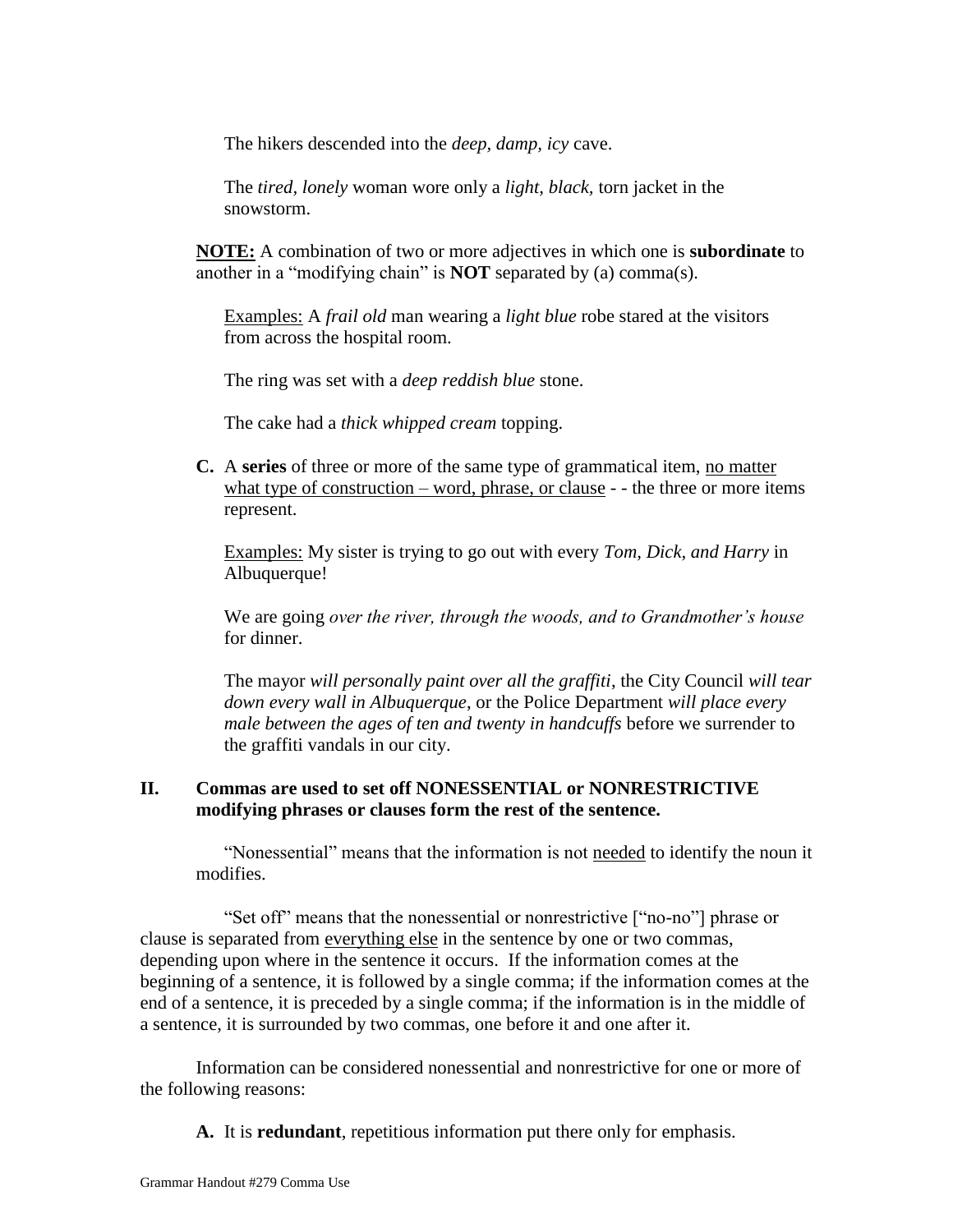The hikers descended into the *deep, damp, icy* cave.

The *tired, lonely* woman wore only a *light, black,* torn jacket in the snowstorm.

**NOTE:** A combination of two or more adjectives in which one is **subordinate** to another in a "modifying chain" is **NOT** separated by (a) comma(s).

Examples: A *frail old* man wearing a *light blue* robe stared at the visitors from across the hospital room.

The ring was set with a *deep reddish blue* stone.

The cake had a *thick whipped cream* topping.

**C.** A **series** of three or more of the same type of grammatical item, no matter what type of construction – word, phrase, or clause - - the three or more items represent.

Examples: My sister is trying to go out with every *Tom, Dick, and Harry* in Albuquerque!

We are going *over the river, through the woods, and to Grandmother's house* for dinner.

The mayor *will personally paint over all the graffiti*, the City Council *will tear down every wall in Albuquerque*, or the Police Department *will place every male between the ages of ten and twenty in handcuffs* before we surrender to the graffiti vandals in our city.

## **II. Commas are used to set off NONESSENTIAL or NONRESTRICTIVE modifying phrases or clauses form the rest of the sentence.**

"Nonessential" means that the information is not needed to identify the noun it modifies.

"Set off" means that the nonessential or nonrestrictive ["no-no"] phrase or clause is separated from everything else in the sentence by one or two commas, depending upon where in the sentence it occurs. If the information comes at the beginning of a sentence, it is followed by a single comma; if the information comes at the end of a sentence, it is preceded by a single comma; if the information is in the middle of a sentence, it is surrounded by two commas, one before it and one after it.

Information can be considered nonessential and nonrestrictive for one or more of the following reasons:

**A.** It is **redundant**, repetitious information put there only for emphasis.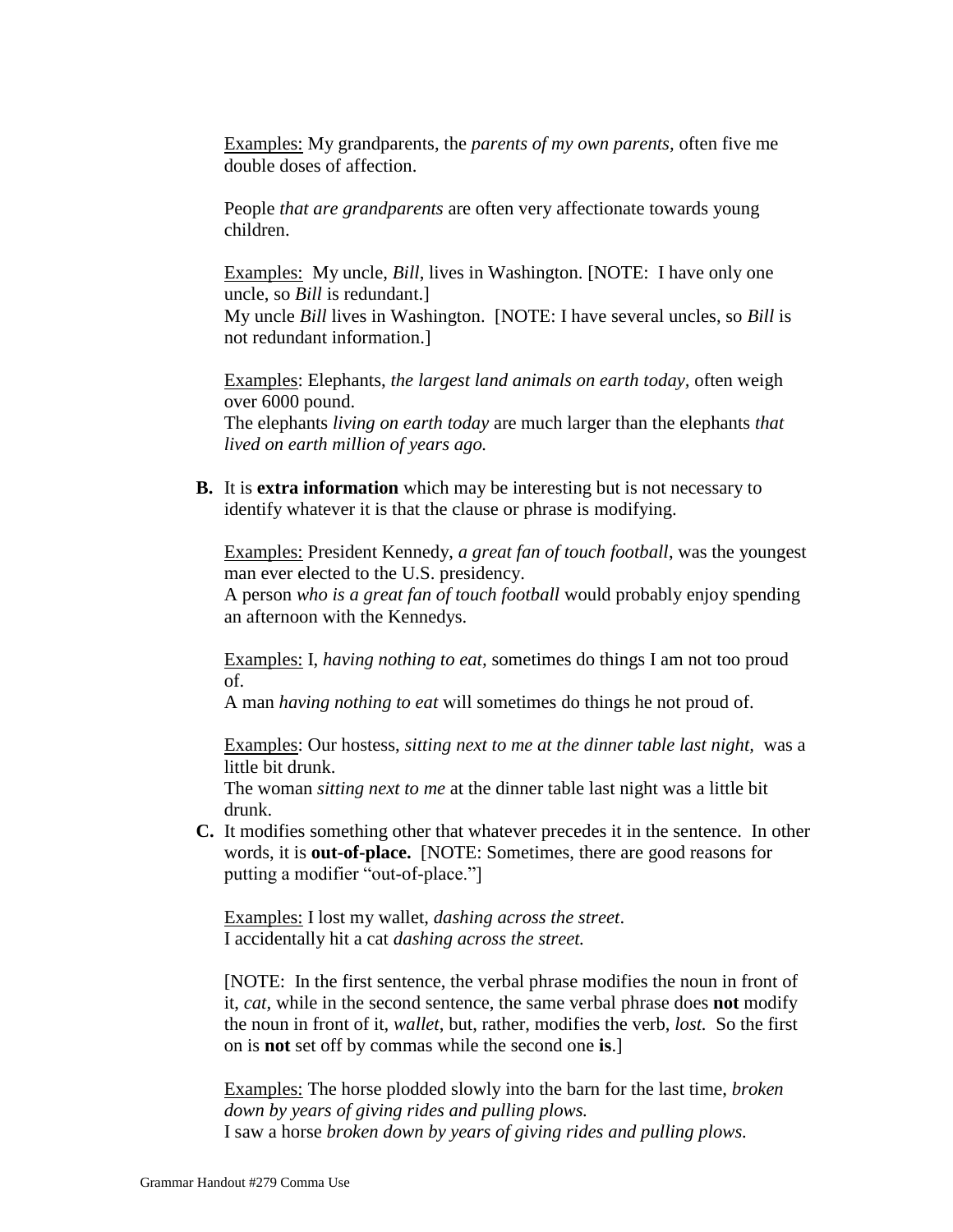Examples: My grandparents, the *parents of my own parents,* often five me double doses of affection.

People *that are grandparents* are often very affectionate towards young children.

Examples: My uncle, *Bill*, lives in Washington. [NOTE: I have only one uncle, so *Bill* is redundant.]

My uncle *Bill* lives in Washington. [NOTE: I have several uncles, so *Bill* is not redundant information.]

Examples: Elephants, *the largest land animals on earth today,* often weigh over 6000 pound.

The elephants *living on earth today* are much larger than the elephants *that lived on earth million of years ago.*

**B.** It is **extra information** which may be interesting but is not necessary to identify whatever it is that the clause or phrase is modifying.

Examples: President Kennedy, *a great fan of touch football*, was the youngest man ever elected to the U.S. presidency.

A person *who is a great fan of touch football* would probably enjoy spending an afternoon with the Kennedys.

Examples: I, *having nothing to eat,* sometimes do things I am not too proud of.

A man *having nothing to eat* will sometimes do things he not proud of.

Examples: Our hostess, *sitting next to me at the dinner table last night,* was a little bit drunk.

The woman *sitting next to me* at the dinner table last night was a little bit drunk.

**C.** It modifies something other that whatever precedes it in the sentence. In other words, it is **out-of-place.** [NOTE: Sometimes, there are good reasons for putting a modifier "out-of-place."]

Examples: I lost my wallet, *dashing across the street*. I accidentally hit a cat *dashing across the street.* 

[NOTE: In the first sentence, the verbal phrase modifies the noun in front of it, *cat,* while in the second sentence, the same verbal phrase does **not** modify the noun in front of it, *wallet*, but, rather, modifies the verb, *lost.* So the first on is **not** set off by commas while the second one **is**.]

Examples: The horse plodded slowly into the barn for the last time, *broken down by years of giving rides and pulling plows.*  I saw a horse *broken down by years of giving rides and pulling plows.*